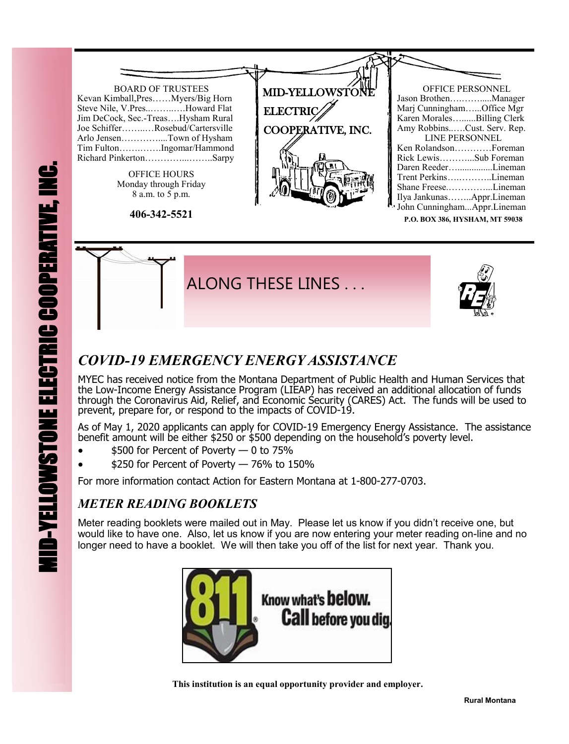

**P.O. BOX 386, HYSHAM, MT 59038**



## *COVID-19 EMERGENCY ENERGY ASSISTANCE*

MYEC has received notice from the Montana Department of Public Health and Human Services that the Low-Income Energy Assistance Program (LIEAP) has received an additional allocation of funds through the Coronavirus Aid, Relief, and Economic Security (CARES) Act. The funds will be used to prevent, prepare for, or respond to the impacts of COVID-19.

As of May 1, 2020 applicants can apply for COVID-19 Emergency Energy Assistance. The assistance benefit amount will be either \$250 or \$500 depending on the household's poverty level.

- \$500 for Percent of Poverty 0 to 75%
- $\bullet$  \$250 for Percent of Poverty  $-$  76% to 150%

For more information contact Action for Eastern Montana at 1-800-277-0703.

## *METER READING BOOKLETS*

Meter reading booklets were mailed out in May. Please let us know if you didn't receive one, but would like to have one. Also, let us know if you are now entering your meter reading on-line and no longer need to have a booklet. We will then take you off of the list for next year. Thank you.



 **This institution is an equal opportunity provider and employer.**